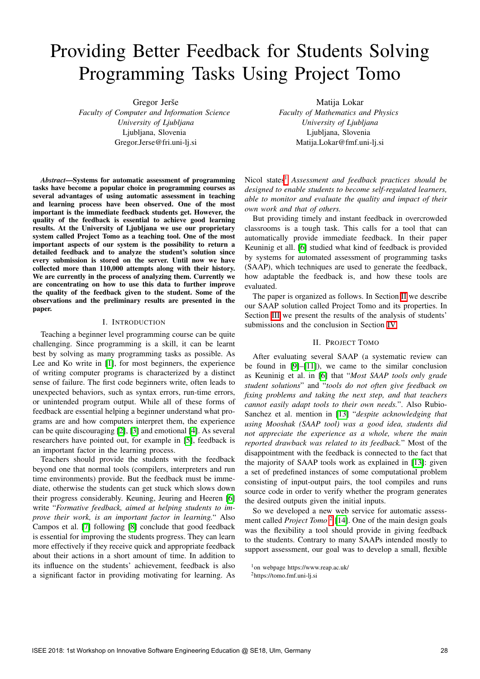# Providing Better Feedback for Students Solving Programming Tasks Using Project Tomo

Gregor Jerše

*Faculty of Computer and Information Science University of Ljubljana* Ljubljana, Slovenia Gregor.Jerse@fri.uni-lj.si

*Abstract*—Systems for automatic assessment of programming tasks have become a popular choice in programming courses as several advantages of using automatic assessment in teaching and learning process have been observed. One of the most important is the immediate feedback students get. However, the quality of the feedback is essential to achieve good learning results. At the University of Ljubljana we use our proprietary system called Project Tomo as a teaching tool. One of the most important aspects of our system is the possibility to return a detailed feedback and to analyze the student's solution since every submission is stored on the server. Until now we have collected more than 110,000 attempts along with their history. We are currently in the process of analyzing them. Currently we are concentrating on how to use this data to further improve the quality of the feedback given to the student. Some of the observations and the preliminary results are presented in the paper.

## I. INTRODUCTION

Teaching a beginner level programming course can be quite challenging. Since programming is a skill, it can be learnt best by solving as many programming tasks as possible. As Lee and Ko write in  $\|\cdot\|$ , for most beginners, the experience of writing computer programs is characterized by a distinct sense of failure. The first code beginners write, often leads to unexpected behaviors, such as syntax errors, run-time errors, or unintended program output. While all of these forms of feedback are essential helping a beginner understand what programs are and how computers interpret them, the experience can be quite discouraging  $[2]$ ,  $[3]$  and emotional  $[4]$ . As several researchers have pointed out, for example in [\[5\]](#page--1-4), feedback is an important factor in the learning process.

Teachers should provide the students with the feedback beyond one that normal tools (compilers, interpreters and run time environments) provide. But the feedback must be immediate, otherwise the students can get stuck which slows down their progress considerably. Keuning, Jeuring and Heeren [\[6\]](#page--1-5) write "*Formative feedback, aimed at helping students to improve their work, is an important factor in learning.*" Also Campos et al. [\[7\]](#page--1-6) following [\[8\]](#page--1-7) conclude that good feedback is essential for improving the students progress. They can learn more effectively if they receive quick and appropriate feedback about their actions in a short amount of time. In addition to its influence on the students' achievement, feedback is also a significant factor in providing motivating for learning. As Matija Lokar

*Faculty of Mathematics and Physics University of Ljubljana* Ljubljana, Slovenia Matija.Lokar@fmf.uni-lj.si

Nicol states<sup>1</sup> Assessment and feedback practices should be *designed to enable students to become self-regulated learners, able to monitor and evaluate the quality and impact of their own work and that of others.*

But providing timely and instant feedback in overcrowded classrooms is a tough task. This calls for a tool that can automatically provide immediate feedback. In their paper Keuninig et all. [\[6\]](#page--1-5) studied what kind of feedback is provided by systems for automated assessment of programming tasks (SAAP), which techniques are used to generate the feedback, how adaptable the feedback is, and how these tools are evaluated.

The paper is organized as follows. In Section  $\mathbf{II}$  we describe our SAAP solution called Project Tomo and its properties. In Section  $\overline{III}$  we present the results of the analysis of students' submissions and the conclusion in Section [IV.](#page--1-11)

# II. PROJECT TOMO

After evaluating several SAAP (a systematic review can be found in  $\sqrt{9}$ – $\sqrt{11}$ ), we came to the similar conclusion as Keuninig et al. in [\[6\]](#page--1-5) that "*Most SAAP tools only grade student solutions*" and "*tools do not often give feedback on fixing problems and taking the next step, and that teachers cannot easily adapt tools to their own needs.*". Also Rubio-Sanchez et al. mention in [\[13\]](#page--1-14) "*despite acknowledging that using Mooshak (SAAP tool) was a good idea, students did not appreciate the experience as a whole, where the main reported drawback was related to its feedback.*" Most of the disappointment with the feedback is connected to the fact that the majority of SAAP tools work as explained in  $[13]$ : given a set of predefined instances of some computational problem consisting of input-output pairs, the tool compiles and runs source code in order to verify whether the program generates the desired outputs given the initial inputs.

So we developed a new web service for automatic assessment called *Project Tomo*  $\sqrt{2||14}$  $\sqrt{2||14}$  $\sqrt{2||14}$ . One of the main design goals was the flexibility a tool should provide in giving feedback to the students. Contrary to many SAAPs intended mostly to support assessment, our goal was to develop a small, flexible

<sup>1</sup>on webpage https://www.reap.ac.uk/

<sup>2</sup>https://tomo.fmf.uni-lj.si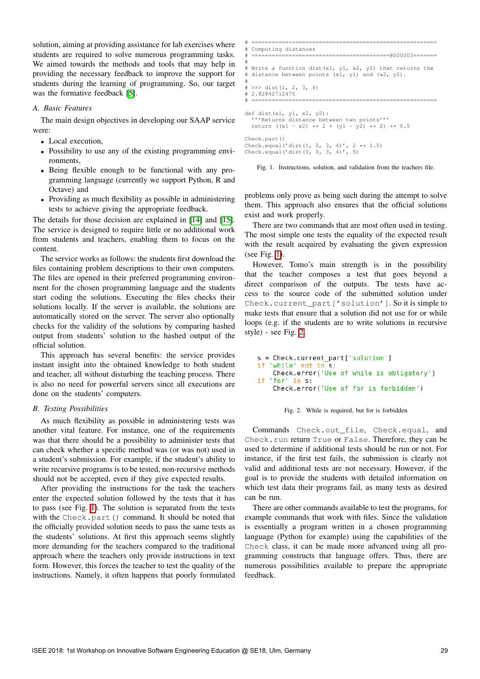solution, aiming at providing assistance for lab exercises where students are required to solve numerous programming tasks. We aimed towards the methods and tools that may help in providing the necessary feedback to improve the support for students during the learning of programming. So, our target was the formative feedback  $[5]$ .

### *A. Basic Features*

The main design objectives in developing our SAAP service were:

- *•* Local execution,
- Possibility to use any of the existing programming environments,
- *•* Being flexible enough to be functional with any programming language (currently we support Python, R and Octave) and
- Providing as much flexibility as possible in administering tests to achieve giving the appropriate feedback.

The details for those decision are explained in [\[14\]](#page--1-16) and [\[15\]](#page--1-17). The service is designed to require little or no additional work from students and teachers, enabling them to focus on the content.

The service works as follows: the students first download the files containing problem descriptions to their own computers. The files are opened in their preferred programming environment for the chosen programming language and the students start coding the solutions. Executing the files checks their solutions locally. If the server is available, the solutions are automatically stored on the server. The server also optionally checks for the validity of the solutions by comparing hashed output from students' solution to the hashed output of the official solution.

This approach has several benefits: the service provides instant insight into the obtained knowledge to both student and teacher, all without disturbing the teaching process. There is also no need for powerful servers since all executions are done on the students' computers.

# *B. Testing Possibilities*

As much flexibility as possible in administering tests was another vital feature. For instance, one of the requirements was that there should be a possibility to administer tests that can check whether a specific method was (or was not) used in a student's submission. For example, if the student's ability to write recursive programs is to be tested, non-recursive methods should not be accepted, even if they give expected results.

After providing the instructions for the task the teachers enter the expected solution followed by the tests that it has to pass (see Fig.  $\overline{1}$ ). The solution is separated from the tests with the Check.part() command. It should be noted that the officially provided solution needs to pass the same tests as the students' solutions. At first this approach seems slightly more demanding for the teachers compared to the traditional approach where the teachers only provide instructions in text form. However, this forces the teacher to test the quality of the instructions. Namely, it often happens that poorly formulated

```
# =======================================================
# Computing distances
      # =========================================@000003=======
#
# Write a function dist(x1, y1, x2, y2) that returns the
 distance between points (x1, y1) and (x2, y2).
#
# >>> dist(1, 2, 3, 4)
# 2.82842712475
                        # =======================================================
def dist(x1, y1, x2, y2):
  '''Returns distance between two points'''
  return ((x1 - x2) ** 2 + (y1 - y2) ** 2) ** 0.5
Check.part()
Check.equal('dist(1, 2, 3, 4)', 2 ** 1.5)
Check.equal('dist(0, 0, 3, 4)', 5)
```
Fig. 1. Instructions, solution, and validation from the teachers file.

problems only prove as being such during the attempt to solve them. This approach also ensures that the official solutions exist and work properly.

There are two commands that are most often used in testing. The most simple one tests the equality of the expected result with the result acquired by evaluating the given expression (see Fig.  $\boxed{1}$ ).

However, Tomo's main strength is in the possibility that the teacher composes a test that goes beyond a direct comparison of the outputs. The tests have access to the source code of the submitted solution under Check.current\_part['solution']. So it is simple to make tests that ensure that a solution did not use for or while loops (e.g. if the students are to write solutions in recursive style) - see Fig.  $2$ .

```
s = Check.current part['solution']
if 'while' not in s:
   Check.error('Use of while is obligatory')
  'for'
i f
        in s:
   Check.error('Use of for is forbidden')
```


Commands Check.out\_file, Check.equal, and Check.run return True or False. Therefore, they can be used to determine if additional tests should be run or not. For instance, if the first test fails, the submission is clearly not valid and additional tests are not necessary. However, if the goal is to provide the students with detailed information on which test data their programs fail, as many tests as desired can be run.

There are other commands available to test the programs, for example commands that work with files. Since the validation is essentially a program written in a chosen programming language (Python for example) using the capabilities of the Check class, it can be made more advanced using all programming constructs that language offers. Thus, there are numerous possibilities available to prepare the appropriate feedback.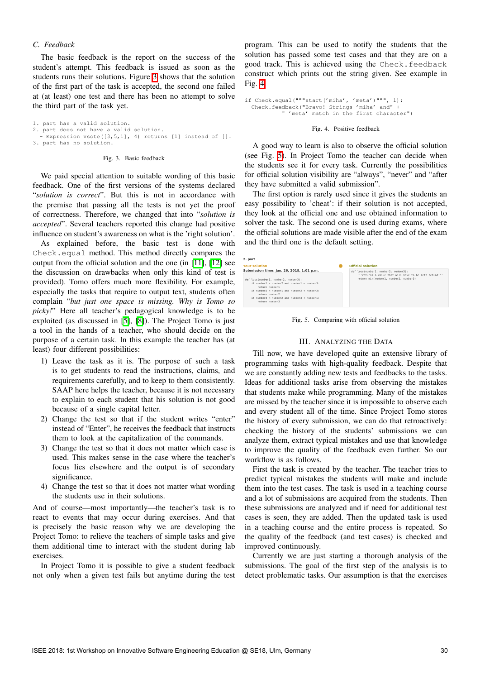## *C. Feedback*

The basic feedback is the report on the success of the student's attempt. This feedback is issued as soon as the students runs their solutions. Figure  $\overline{3}$  shows that the solution of the first part of the task is accepted, the second one failed at (at least) one test and there has been no attempt to solve the third part of the task yet.

1. part has a valid solution. 2. part does not have a valid solution. part does not nave a varia soriation.<br>Expression vsote([3,5,1], 4) returns [1] instead of []. 3. part has no solution.

## Fig. 3. Basic feedback

We paid special attention to suitable wording of this basic feedback. One of the first versions of the systems declared "*solution is correct*". But this is not in accordance with the premise that passing all the tests is not yet the proof of correctness. Therefore, we changed that into "*solution is accepted*". Several teachers reported this change had positive influence on student's awareness on what is the 'right solution'.

As explained before, the basic test is done with Check.equal method. This method directly compares the output from the official solution and the one (in  $[11]$ ,  $[12]$  see the discussion on drawbacks when only this kind of test is provided). Tomo offers much more flexibility. For example, especially the tasks that require to output text, students often complain "*but just one space is missing. Why is Tomo so picky!*" Here all teacher's pedagogical knowledge is to be exploited (as discussed in  $\overline{5}$ ,  $\overline{8}$ ). The Project Tomo is just a tool in the hands of a teacher, who should decide on the purpose of a certain task. In this example the teacher has (at least) four different possibilities:

- 1) Leave the task as it is. The purpose of such a task is to get students to read the instructions, claims, and requirements carefully, and to keep to them consistently. SAAP here helps the teacher, because it is not necessary to explain to each student that his solution is not good because of a single capital letter.
- 2) Change the test so that if the student writes "enter" instead of "Enter", he receives the feedback that instructs them to look at the capitalization of the commands.
- 3) Change the test so that it does not matter which case is used. This makes sense in the case where the teacher's focus lies elsewhere and the output is of secondary significance.
- 4) Change the test so that it does not matter what wording the students use in their solutions.

And of course—most importantly—the teacher's task is to react to events that may occur during exercises. And that is precisely the basic reason why we are developing the Project Tomo: to relieve the teachers of simple tasks and give them additional time to interact with the student during lab exercises.

In Project Tomo it is possible to give a student feedback not only when a given test fails but anytime during the test program. This can be used to notify the students that the solution has passed some test cases and that they are on a good track. This is achieved using the Check.feedback construct which prints out the string given. See example in Fig.  $4$ .

```
if Check.equal("""start('miha', 'meta')""", 1):
 Check.feedback("Bravo! Strings 'miha' and" +
            " 'meta' match in the first character")
```
#### Fig. 4. Positive feedback

A good way to learn is also to observe the official solution (see Fig. [5\)](#page--1-23). In Project Tomo the teacher can decide when the students see it for every task. Currently the possibilities for official solution visibility are "always", "never" and "after they have submitted a valid submission".

The first option is rarely used since it gives the students an easy possibility to 'cheat': if their solution is not accepted, they look at the official one and use obtained information to solver the task. The second one is used during exams, where the official solutions are made visible after the end of the exam and the third one is the default setting.

| 2. part<br><b>Your solution</b>                                                                                                                                                                                                                                                                        | <b>Official solution</b>                                                                                                              |
|--------------------------------------------------------------------------------------------------------------------------------------------------------------------------------------------------------------------------------------------------------------------------------------------------------|---------------------------------------------------------------------------------------------------------------------------------------|
| Submission time: Jan. 26, 2018, 1:01 p.m.<br>def loss(number1, number2, number3):<br>if number1 $\leq$ number2 and number1 $\leq$ number3:<br>return number1<br>if number $2 <$ number 1 and number $2 <$ number 3:<br>return number2<br>if number3 < number2 and number3 < number1:<br>return number3 | def loss(number1, number2, number3):<br>""returns a value that will have to be left behind""<br>return min(numberl, number2, number3) |



## III. ANALYZING THE DATA

Till now, we have developed quite an extensive library of programming tasks with high-quality feedback. Despite that we are constantly adding new tests and feedbacks to the tasks. Ideas for additional tasks arise from observing the mistakes that students make while programming. Many of the mistakes are missed by the teacher since it is impossible to observe each and every student all of the time. Since Project Tomo stores the history of every submission, we can do that retroactively: checking the history of the students' submissions we can analyze them, extract typical mistakes and use that knowledge to improve the quality of the feedback even further. So our workflow is as follows.

First the task is created by the teacher. The teacher tries to predict typical mistakes the students will make and include them into the test cases. The task is used in a teaching course and a lot of submissions are acquired from the students. Then these submissions are analyzed and if need for additional test cases is seen, they are added. Then the updated task is used in a teaching course and the entire process is repeated. So the quality of the feedback (and test cases) is checked and improved continuously.

Currently we are just starting a thorough analysis of the submissions. The goal of the first step of the analysis is to detect problematic tasks. Our assumption is that the exercises